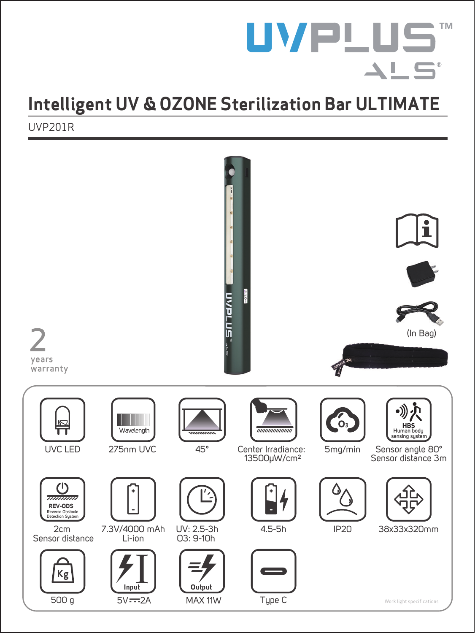# **UVPLUS**  $\blacktriangle \vdash$  5  $\rightarrow$   $\alpha$

## **Intelligent UV & OZONE Sterilization Bar ULTIMATE**

UVP201R

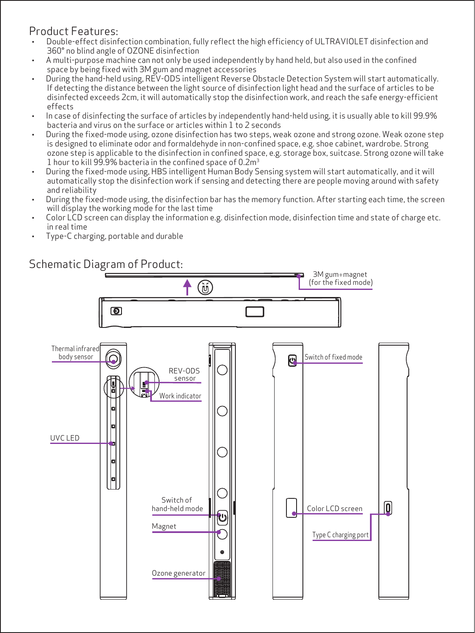#### Product Features:

- · Double-effect disinfection combination, fully reflect the high efficiency of ULTRAVIOLET disinfection and 360° no blind angle of OZONE disinfection
- · A multi-purpose machine can not only be used independently by hand held, but also used in the confined space by being fixed with 3M gum and magnet accessories
- · During the hand-held using, REV-ODS intelligent Reverse Obstacle Detection System will start automatically. If detecting the distance between the light source of disinfection light head and the surface of articles to be disinfected exceeds 2cm, it will automatically stop the disinfection work, and reach the safe energy-efficient effects
- · In case of disinfecting the surface of articles by independently hand-held using, it is usually able to kill 99.9% bacteria and virus on the surface or articles within 1 to 2 seconds
- · During the fixed-mode using, ozone disinfection has two steps, weak ozone and strong ozone. Weak ozone step is designed to eliminate odor and formaldehyde in non-confined space, e.g. shoe cabinet, wardrobe. Strong ozone step is applicable to the disinfection in confined space, e.g. storage box, suitcase. Strong ozone will take 1 hour to kill 99.9% bacteria in the confined space of 0.2m 3
- · During the fixed-mode using, HBS intelligent Human Body Sensing system will start automatically, and it will automatically stop the disinfection work if sensing and detecting there are people moving around with safety and reliability
- · During the fixed-mode using, the disinfection bar has the memory function. After starting each time, the screen will display the working mode for the last time
- · Color LCD screen can display the information e.g. disinfection mode, disinfection time and state of charge etc. in real time
- · Type-C charging, portable and durable

### Schematic Diagram of Product:

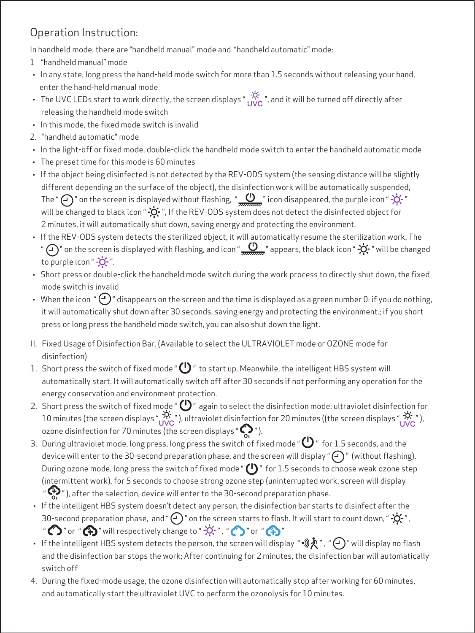## Operation Instruction:

In handheld mode, there are "handheld manual" mode and "handheld automatic" mode:

- 1 "handheld manual" mode
- · In any state, long press the hand-held mode switch for more than 1.5 seconds without releasing your hand, enter the hand-held manual mode
- The UVC LEDs start to work directly, the screen displays "  $\tilde{U}_{\text{VC}}$  ", and it will be turned off directly after releasing the handheld mode switch
- · In this mode, the fixed mode switch is invalid
- 2. "handheld automatic" mode
- · In the light-off or fixed mode, double-click the handheld mode switch to enter the handheld automatic mode
- · The preset time for this mode is 60 minutes
- · If the object being disinfected is not detected by the REV-ODS system (the sensing distance will be slightly different depending on the surface of the object), the disinfection work will be automatically suspended, The "  $\overline{(\cdot)}$ " on the screen is displayed without flashing, "  $\underline{\mathbf{0}}$  " icon disappeared, the purple icon " - $\overleftrightarrow{\mathbf{Q}}$ " will be changed to black icon "  $\dot{Q}$  ", If the REV-ODS system does not detect the disinfected object for 2 minutes, it will automatically shut down, saving energy and protecting the environment.
- · If the REV-ODS system detects the sterilized object, it will automatically resume the sterilization work, The "  $\bigcap$  " on the screen is displayed with flashing, and icon "  $\bigcup$  " appears, the black icon "  $\bigcirc$  " will be changed to purple icon " -O -".
- · Short press or double-click the handheld mode switch during the work process to directly shut down, the fixed mode switch is invalid
- When the icon "  $\bigodot$  " disappears on the screen and the time is displayed as a green number 0: if you do nothing, it will automatically shut down after 30 seconds, saving energy and protecting the environment.; if you short press or long press the handheld mode switch, you can also shut down the light.
- II. Fixed Usage of Disinfection Bar. (Available to select the ULTRAVIOLET mode or OZONE mode for disinfection).
- 1. Short press the switch of fixed mode " $\bigcirc$ " to start up. Meanwhile, the intelligent HBS system will automatically start. It will automatically switch off after 30 seconds if not performing any operation for the energy conservation and environment protection.
- 2. Short press the switch of fixed mode " $\bigoplus$ " again to select the disinfection mode: ultraviolet disinfection for 10 minutes (the screen displays "  $\frac{W}{\sqrt{C}}$  "), ultraviolet disinfection for 20 minutes ((the screen displays "  $\frac{W}{\sqrt{C}}$  "), ozone disinfection for 70 minutes (the screen displays " $\bigcirc$ ").
- 3. During ultraviolet mode, long press, long press the switch of fixed mode " $\bigoplus$ " for 1.5 seconds, and the device will enter to the 30-second preparation phase, and the screen will display " $\bigcap$ " (without flashing). During ozone mode, long press the switch of fixed mode " $()$ " for 1.5 seconds to choose weak ozone step (intermittent work), for 5 seconds to choose strong ozone step (uninterrupted work, screen will display  $\cdot$   $\mathbb{C}$ ), after the selection, device will enter to the 30-second preparation phase.
- · If the intelligent HBS system doesn't detect any person, the disinfection bar starts to disinfect after the 30-second preparation phase, and " $\bigodot$ " on the screen starts to flash. It will start to count down, " $\bigotimes$ ", " $\bigcirc$ " or " $\bigcirc$ " will respectively change to " $\bigcirc$ ", " $\bigcirc$ " or " $\bigcirc$ "
- If the intelligent HBS system detects the person, the screen will display " $\mathcal{P}, \mathcal{P}, \mathcal{P}$ " will display no flash and the disinfection bar stops the work; After continuing for 2 minutes, the disinfection bar will automatically switch off
- 4. During the fixed-mode usage, the ozone disinfection will automatically stop after working for 60 minutes, and automatically start the ultraviolet UVC to perform the ozonolysis for 10 minutes.